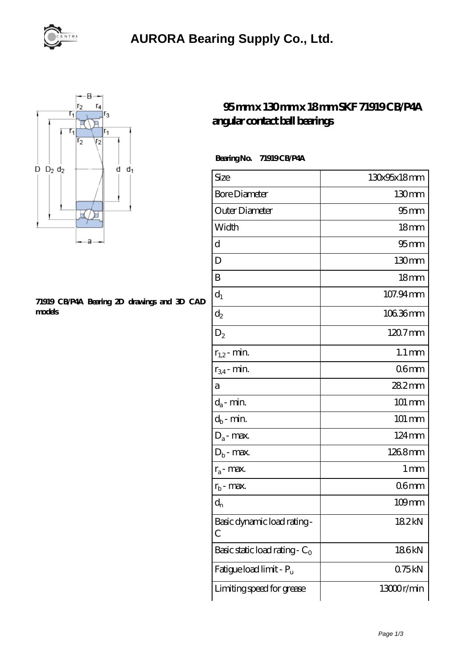

## **[AURORA Bearing Supply Co., Ltd.](https://m.hndli.com)**



## **[71919 CB/P4A Bearing 2D drawings and 3D CAD](https://m.hndli.com/pic-171227.html) [models](https://m.hndli.com/pic-171227.html)**

## **[95 mm x 130 mm x 18 mm SKF 71919 CB/P4A](https://m.hndli.com/al-171227-skf-71919-cb-p4a-angular-contact-ball-bearings.html) [angular contact ball bearings](https://m.hndli.com/al-171227-skf-71919-cb-p4a-angular-contact-ball-bearings.html)**

 **Bearing No. 71919 CB/P4A**

| Size                             | 130x95x18mm         |
|----------------------------------|---------------------|
| <b>Bore Diameter</b>             | 130mm               |
| Outer Diameter                   | 95 <sub>mm</sub>    |
| Width                            | 18 <sub>mm</sub>    |
| d                                | 95 <sub>mm</sub>    |
| D                                | 130mm               |
| B                                | 18 <sub>mm</sub>    |
| $d_1$                            | 107.94 mm           |
| $\mathrm{d}_2$                   | 10636mm             |
| $D_2$                            | 120.7mm             |
| $r_{1,2}$ - min.                 | $1.1 \,\mathrm{mm}$ |
| $r_{34}$ - min.                  | 06 <sub>mm</sub>    |
| а                                | 282mm               |
| $d_a$ - min.                     | 101 mm              |
| $d_b$ - min.                     | $101 \, \text{mm}$  |
| $D_a$ - max.                     | $124 \,\mathrm{mm}$ |
| $D_b$ - max.                     | 1268mm              |
| $r_a$ - max.                     | 1 mm                |
| $r_{b}$ - max.                   | 06 <sub>mm</sub>    |
| $d_{n}$                          | 109mm               |
| Basic dynamic load rating-<br>С  | 182kN               |
| Basic static load rating - $C_0$ | 186kN               |
| Fatigue load limit - Pu          | 075kN               |
| Limiting speed for grease        | 13000r/min          |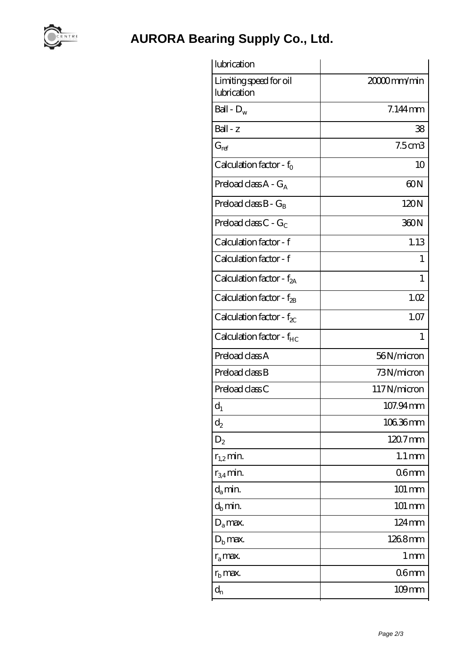

**[AURORA Bearing Supply Co., Ltd.](https://m.hndli.com)**

| lubrication                           |                     |
|---------------------------------------|---------------------|
| Limiting speed for oil<br>lubrication | 20000mm/min         |
| Ball - $D_w$                          | 7.144mm             |
| $Ball - z$                            | 38                  |
| $G_{ref}$                             | 7.5cm3              |
| Calculation factor - $f_0$            | 10                  |
| Preload class $A - G_A$               | 60N                 |
| Preload class $B - G_B$               | 120N                |
| Preload class $C - G_C$               | 360N                |
| Calculation factor - f                | 1.13                |
| Calculation factor - f                | 1                   |
| Calculation factor - $f_{2A}$         | 1                   |
| Calculation factor - f <sub>2B</sub>  | 1.02                |
| Calculation factor - $f_{\chi}$       | 1.07                |
| Calculation factor - f <sub>HC</sub>  | 1                   |
| Preload class A                       | 56N/micron          |
| Preload class B                       | 73N/micron          |
| Preload class C                       | 117N/micron         |
| $d_1$                                 | 107.94mm            |
| $d_2$                                 | 106.36mm            |
| $D_2$                                 | 120.7mm             |
| $r_{1,2}$ min.                        | $1.1 \,\mathrm{mm}$ |
| $r_{34}$ min.                         | 06 <sub>mm</sub>    |
| $d_a$ min.                            | 101 mm              |
| $d_b$ min.                            | 101 mm              |
| $D_a$ max.                            | 124mm               |
| $D_{\rm b}$ max.                      | 1268mm              |
| $r_a$ max.                            | 1 mm                |
| $r_{\rm b}$ max.                      | 06mm                |
| $d_{n}$                               | $109$ mm            |
|                                       |                     |